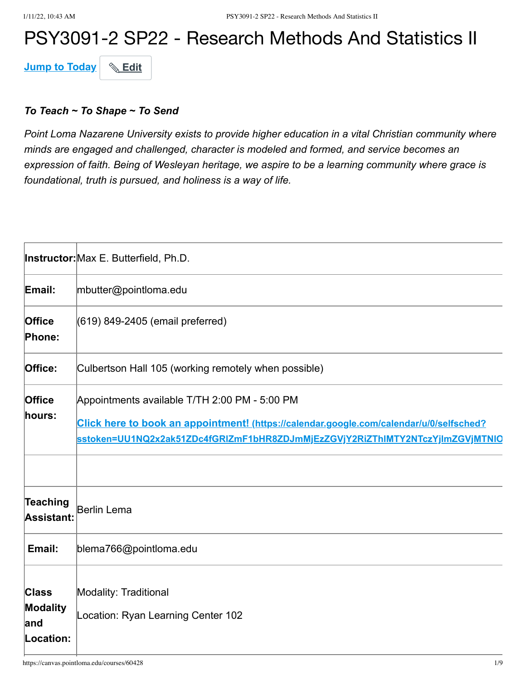# PSY3091-2 SP22 - Research Methods And Statistics II

**Jump to Today** & Edit

#### *To Teach ~ To Shape ~ To Send*

*Point Loma Nazarene University exists to provide higher education in a vital Christian community where minds are engaged and challenged, character is modeled and formed, and service becomes an expression of faith. Being of Wesleyan heritage, we aspire to be a learning community where grace is foundational, truth is pursued, and holiness is a way of life.*

|                                                     | <b>Instructor:</b> Max E. Butterfield, Ph.D.                                                                                                                                                                              |
|-----------------------------------------------------|---------------------------------------------------------------------------------------------------------------------------------------------------------------------------------------------------------------------------|
| Email:                                              | mbutter@pointloma.edu                                                                                                                                                                                                     |
| <b>Office</b><br>Phone:                             | (619) 849-2405 (email preferred)                                                                                                                                                                                          |
| Office:                                             | Culbertson Hall 105 (working remotely when possible)                                                                                                                                                                      |
| Office<br>hours:                                    | Appointments available T/TH 2:00 PM - 5:00 PM<br>Click here to book an appointment! (https://calendar.google.com/calendar/u/0/selfsched?<br>sstoken=UU1NQ2x2ak51ZDc4fGRIZmF1bHR8ZDJmMjEzZGVjY2RiZThIMTY2NTczYjImZGVjMTNIQ |
| Teaching<br>Assistant:                              | Berlin Lema                                                                                                                                                                                                               |
| Email:                                              | blema766@pointloma.edu                                                                                                                                                                                                    |
| <b>Class</b><br><b>Modality</b><br>and<br>Location: | Modality: Traditional<br>Location: Ryan Learning Center 102                                                                                                                                                               |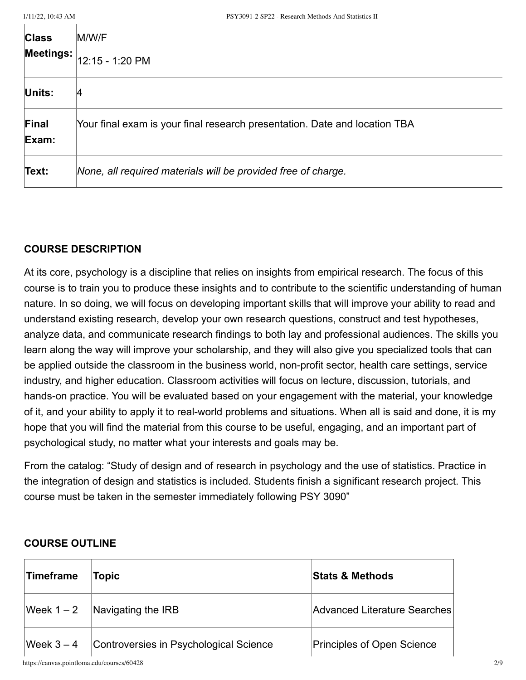| <b>Class</b><br>Meetings: <b>I</b> | M/W/F<br>12:15 - 1:20 PM                                                   |
|------------------------------------|----------------------------------------------------------------------------|
| Units:                             | 14                                                                         |
| Final<br>Exam:                     | Your final exam is your final research presentation. Date and location TBA |
| Text:                              | None, all required materials will be provided free of charge.              |

#### **COURSE DESCRIPTION**

At its core, psychology is a discipline that relies on insights from empirical research. The focus of this course is to train you to produce these insights and to contribute to the scientific understanding of human nature. In so doing, we will focus on developing important skills that will improve your ability to read and understand existing research, develop your own research questions, construct and test hypotheses, analyze data, and communicate research findings to both lay and professional audiences. The skills you learn along the way will improve your scholarship, and they will also give you specialized tools that can be applied outside the classroom in the business world, non-profit sector, health care settings, service industry, and higher education. Classroom activities will focus on lecture, discussion, tutorials, and hands-on practice. You will be evaluated based on your engagement with the material, your knowledge of it, and your ability to apply it to real-world problems and situations. When all is said and done, it is my hope that you will find the material from this course to be useful, engaging, and an important part of psychological study, no matter what your interests and goals may be.

From the catalog: "Study of design and of research in psychology and the use of statistics. Practice in the integration of design and statistics is included. Students finish a significant research project. This course must be taken in the semester immediately following PSY 3090"

| <b>OUURUL UUTEINE</b>                      |                                        |                              |  |
|--------------------------------------------|----------------------------------------|------------------------------|--|
| Timeframe                                  | Topic                                  | <b>Stats &amp; Methods</b>   |  |
| Week $1 - 2$                               | Navigating the IRB                     | Advanced Literature Searches |  |
| Week $3-4$                                 | Controversies in Psychological Science | Principles of Open Science   |  |
| https://canvas.pointloma.edu/courses/60428 |                                        |                              |  |

# **COURSE OUTLINE**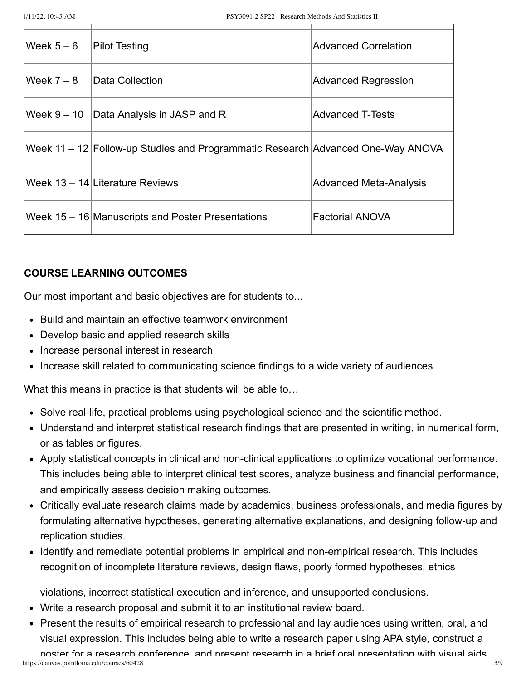| Week $5-6$  | <b>Pilot Testing</b>                                                            | <b>Advanced Correlation</b>   |
|-------------|---------------------------------------------------------------------------------|-------------------------------|
| lWeek 7 – 8 | Data Collection                                                                 | <b>Advanced Regression</b>    |
|             | Week $9 - 10$ Data Analysis in JASP and R                                       | <b>Advanced T-Tests</b>       |
|             | Week 11 – 12 Follow-up Studies and Programmatic Research Advanced One-Way ANOVA |                               |
|             | Week 13 - 14 Literature Reviews                                                 | <b>Advanced Meta-Analysis</b> |
|             | Week 15 – 16 Manuscripts and Poster Presentations                               | <b>Factorial ANOVA</b>        |

#### **COURSE LEARNING OUTCOMES**

Our most important and basic objectives are for students to...

- Build and maintain an effective teamwork environment
- Develop basic and applied research skills
- Increase personal interest in research
- Increase skill related to communicating science findings to a wide variety of audiences

What this means in practice is that students will be able to…

- Solve real-life, practical problems using psychological science and the scientific method.
- Understand and interpret statistical research findings that are presented in writing, in numerical form, or as tables or figures.
- Apply statistical concepts in clinical and non-clinical applications to optimize vocational performance. This includes being able to interpret clinical test scores, analyze business and financial performance, and empirically assess decision making outcomes.
- Critically evaluate research claims made by academics, business professionals, and media figures by formulating alternative hypotheses, generating alternative explanations, and designing follow-up and replication studies.
- Identify and remediate potential problems in empirical and non-empirical research. This includes recognition of incomplete literature reviews, design flaws, poorly formed hypotheses, ethics

violations, incorrect statistical execution and inference, and unsupported conclusions.

- Write a research proposal and submit it to an institutional review board.
- Present the results of empirical research to professional and lay audiences using written, oral, and visual expression. This includes being able to write a research paper using APA style, construct a

https://canvas.pointloma.edu/courses/60428 3/9 poster for a research conference and present research in a brief oral presentation with visual aids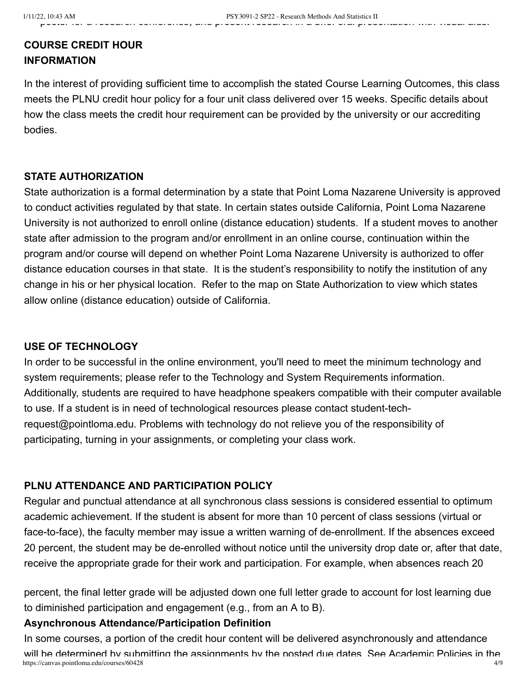# **COURSE CREDIT HOUR INFORMATION**

In the interest of providing sufficient time to accomplish the stated Course Learning Outcomes, this class meets the PLNU credit hour policy for a four unit class delivered over 15 weeks. Specific details about how the class meets the credit hour requirement can be provided by the university or our accrediting bodies.

## **STATE AUTHORIZATION**

State authorization is a formal determination by a state that Point Loma Nazarene University is approved to conduct activities regulated by that state. In certain states outside California, Point Loma Nazarene University is not authorized to enroll online (distance education) students. If a student moves to another state after admission to the program and/or enrollment in an online course, continuation within the program and/or course will depend on whether Point Loma Nazarene University is authorized to offer distance education courses in that state. It is the student's responsibility to notify the institution of any change in his or her physical location. Refer to the map on State Authorization to view which states allow online (distance education) outside of California.

# **USE OF TECHNOLOGY**

In order to be successful in the online environment, you'll need to meet the minimum technology and system requirements; please refer to the Technology and System Requirements information. Additionally, students are required to have headphone speakers compatible with their computer available to use. If a student is in need of technological resources please contact student-techrequest@pointloma.edu. Problems with technology do not relieve you of the responsibility of participating, turning in your assignments, or completing your class work.

# **PLNU ATTENDANCE AND PARTICIPATION POLICY**

Regular and punctual attendance at all synchronous class sessions is considered essential to optimum academic achievement. If the student is absent for more than 10 percent of class sessions (virtual or face-to-face), the faculty member may issue a written warning of de-enrollment. If the absences exceed 20 percent, the student may be de-enrolled without notice until the university drop date or, after that date, receive the appropriate grade for their work and participation. For example, when absences reach 20

percent, the final letter grade will be adjusted down one full letter grade to account for lost learning due to diminished participation and engagement (e.g., from an A to B).

### **Asynchronous Attendance/Participation Definition**

https://canvas.pointloma.edu/courses/60428 4/9 In some courses, a portion of the credit hour content will be delivered asynchronously and attendance will be determined by submitting the assignments by the posted due dates See Academic Policies in the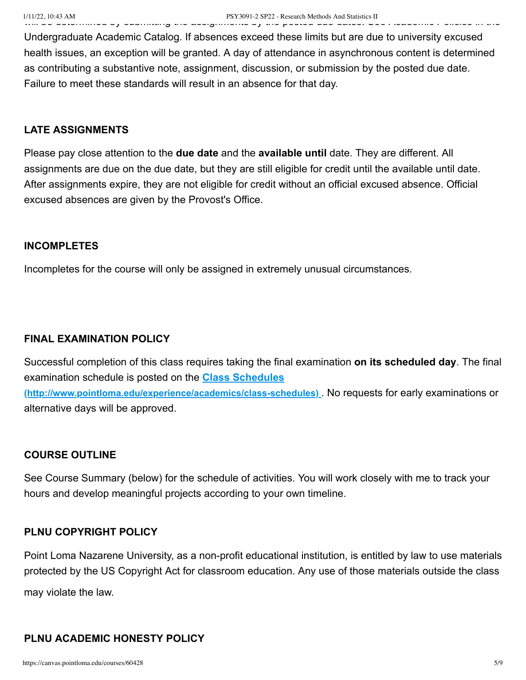Undergraduate Academic Catalog. If absences exceed these limits but are due to university excused health issues, an exception will be granted. A day of attendance in asynchronous content is determined as contributing a substantive note, assignment, discussion, or submission by the posted due date. Failure to meet these standards will result in an absence for that day.

#### **LATE ASSIGNMENTS**

Please pay close attention to the **due date** and the **available until** date. They are different. All assignments are due on the due date, but they are still eligible for credit until the available until date. After assignments expire, they are not eligible for credit without an official excused absence. Official excused absences are given by the Provost's Office.

#### **INCOMPLETES**

Incompletes for the course will only be assigned in extremely unusual circumstances.

#### **FINAL EXAMINATION POLICY**

Successful completion of this class requires taking the final examination **on its scheduled day**. The final examination schedule is posted on the **Class Schedules [\(http://www.pointloma.edu/experience/academics/class-schedules\)](http://www.pointloma.edu/experience/academics/class-schedules)** . No requests for early examinations or alternative days will be approved.

#### **COURSE OUTLINE**

See Course Summary (below) for the schedule of activities. You will work closely with me to track your hours and develop meaningful projects according to your own timeline.

#### **PLNU COPYRIGHT POLICY**

Point Loma Nazarene University, as a non-profit educational institution, is entitled by law to use materials protected by the US Copyright Act for classroom education. Any use of those materials outside the class may violate the law.

#### **PLNU ACADEMIC HONESTY POLICY**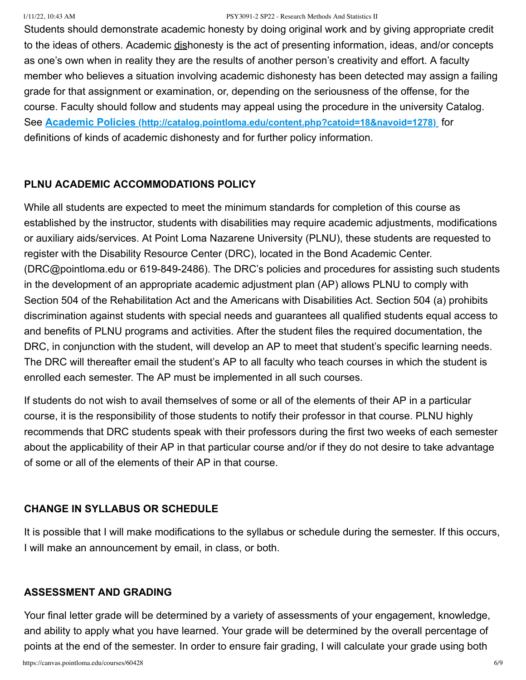#### 1/11/22, 10:43 AM PSY3091-2 SP22 - Research Methods And Statistics II

Students should demonstrate academic honesty by doing original work and by giving appropriate credit to the ideas of others. Academic dishonesty is the act of presenting information, ideas, and/or concepts as one's own when in reality they are the results of another person's creativity and effort. A faculty member who believes a situation involving academic dishonesty has been detected may assign a failing grade for that assignment or examination, or, depending on the seriousness of the offense, for the course. Faculty should follow and students may appeal using the procedure in the university Catalog. See **Academic Policies [\(http://catalog.pointloma.edu/content.php?catoid=18&navoid=1278\)](http://catalog.pointloma.edu/content.php?catoid=18&navoid=1278)** for definitions of kinds of academic dishonesty and for further policy information.

### **PLNU ACADEMIC ACCOMMODATIONS POLICY**

While all students are expected to meet the minimum standards for completion of this course as established by the instructor, students with disabilities may require academic adjustments, modifications or auxiliary aids/services. At Point Loma Nazarene University (PLNU), these students are requested to register with the Disability Resource Center (DRC), located in the Bond Academic Center. (DRC@pointloma.edu or 619-849-2486). The DRC's policies and procedures for assisting such students in the development of an appropriate academic adjustment plan (AP) allows PLNU to comply with Section 504 of the Rehabilitation Act and the Americans with Disabilities Act. Section 504 (a) prohibits discrimination against students with special needs and guarantees all qualified students equal access to and benefits of PLNU programs and activities. After the student files the required documentation, the DRC, in conjunction with the student, will develop an AP to meet that student's specific learning needs. The DRC will thereafter email the student's AP to all faculty who teach courses in which the student is enrolled each semester. The AP must be implemented in all such courses.

If students do not wish to avail themselves of some or all of the elements of their AP in a particular course, it is the responsibility of those students to notify their professor in that course. PLNU highly recommends that DRC students speak with their professors during the first two weeks of each semester about the applicability of their AP in that particular course and/or if they do not desire to take advantage of some or all of the elements of their AP in that course.

### **CHANGE IN SYLLABUS OR SCHEDULE**

It is possible that I will make modifications to the syllabus or schedule during the semester. If this occurs, I will make an announcement by email, in class, or both.

### **ASSESSMENT AND GRADING**

Your final letter grade will be determined by a variety of assessments of your engagement, knowledge, and ability to apply what you have learned. Your grade will be determined by the overall percentage of points at the end of the semester. In order to ensure fair grading, I will calculate your grade using both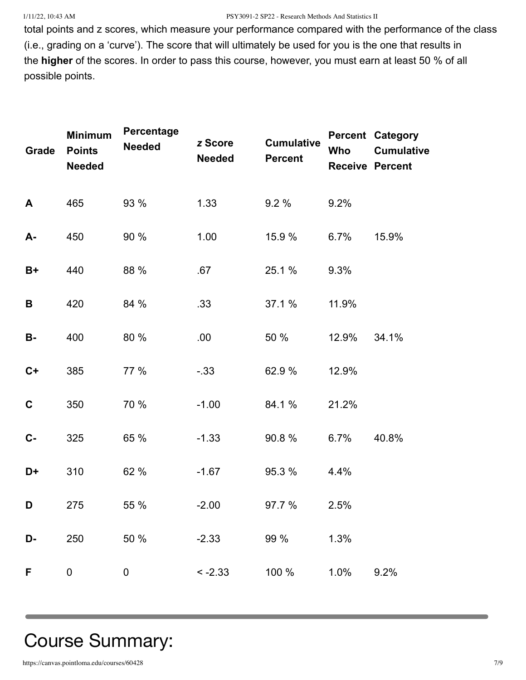#### 1/11/22, 10:43 AM PSY3091-2 SP22 - Research Methods And Statistics II

total points and z scores, which measure your performance compared with the performance of the class (i.e., grading on a 'curve'). The score that will ultimately be used for you is the one that results in the **higher** of the scores. In order to pass this course, however, you must earn at least 50 % of all possible points.

| Grade       | <b>Minimum</b><br><b>Points</b><br><b>Needed</b> | Percentage<br><b>Needed</b> | z Score<br><b>Needed</b> | <b>Cumulative</b><br><b>Percent</b> | Who   | <b>Percent Category</b><br><b>Cumulative</b><br><b>Receive Percent</b> |
|-------------|--------------------------------------------------|-----------------------------|--------------------------|-------------------------------------|-------|------------------------------------------------------------------------|
| A           | 465                                              | 93 %                        | 1.33                     | 9.2%                                | 9.2%  |                                                                        |
| A-          | 450                                              | 90 %                        | 1.00                     | 15.9 %                              | 6.7%  | 15.9%                                                                  |
| $B+$        | 440                                              | 88 %                        | .67                      | 25.1 %                              | 9.3%  |                                                                        |
| B           | 420                                              | 84 %                        | .33                      | 37.1 %                              | 11.9% |                                                                        |
| <b>B-</b>   | 400                                              | 80 %                        | .00                      | 50 %                                | 12.9% | 34.1%                                                                  |
| $C+$        | 385                                              | 77 %                        | $-0.33$                  | 62.9%                               | 12.9% |                                                                        |
| $\mathbf C$ | 350                                              | 70 %                        | $-1.00$                  | 84.1 %                              | 21.2% |                                                                        |
| $C -$       | 325                                              | 65 %                        | $-1.33$                  | 90.8%                               | 6.7%  | 40.8%                                                                  |
| D+          | 310                                              | 62 %                        | $-1.67$                  | 95.3 %                              | 4.4%  |                                                                        |
| D           | 275                                              | 55 %                        | $-2.00$                  | 97.7 %                              | 2.5%  |                                                                        |
| D-          | 250                                              | 50 %                        | $-2.33$                  | 99 %                                | 1.3%  |                                                                        |
| F           | 0                                                | 0                           | $-2.33$                  | 100 %                               | 1.0%  | 9.2%                                                                   |

# Course Summary: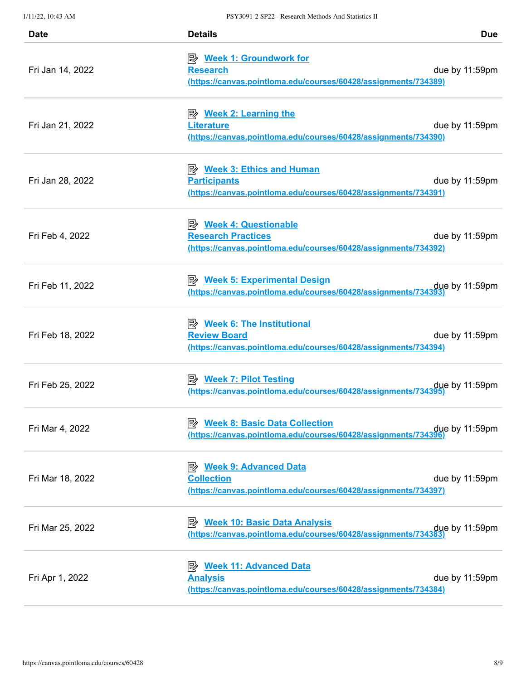| <b>Date</b>      | <b>Details</b>                                                                                                                  | <b>Due</b>     |
|------------------|---------------------------------------------------------------------------------------------------------------------------------|----------------|
| Fri Jan 14, 2022 | <b>Research</b><br>(https://canvas.pointloma.edu/courses/60428/assignments/734389)                                              | due by 11:59pm |
| Fri Jan 21, 2022 | <b>Literature</b><br><u>(https://canvas.pointloma.edu/courses/60428/assignments/734390)</u>                                     | due by 11:59pm |
| Fri Jan 28, 2022 | <u>≫ Week 3: Ethics and Human</u><br><b>Participants</b><br>(https://canvas.pointloma.edu/courses/60428/assignments/734391)     | due by 11:59pm |
| Fri Feb 4, 2022  | <b>B</b> Week 4: Questionable<br><b>Research Practices</b><br>(https://canvas.pointloma.edu/courses/60428/assignments/734392)   | due by 11:59pm |
| Fri Feb 11, 2022 | <b>Week 5: Experimental Design</b><br>眕<br>https://canvas.pointloma.edu/courses/60428/assignments/734393                        | due by 11:59pm |
| Fri Feb 18, 2022 | <u>Week 6: The Institutional</u><br><b>Review Board</b><br>(https://canvas.pointloma.edu/courses/60428/assignments/734394)      | due by 11:59pm |
| Fri Feb 25, 2022 | <b>Week 7: Pilot Testing</b><br>ぽ々<br>due by 11:59pm<br>https://canvas.pointloma.edu/courses/60428/assignments/734395)          |                |
| Fri Mar 4, 2022  | <b>Week 8: Basic Data Collection</b><br>眕<br>due by 11:59pm due thttps://canvas.pointloma.edu/courses/60428/assignments/734396) |                |
| Fri Mar 18, 2022 | <b>Week 9: Advanced Data</b><br>昣<br><b>Collection</b><br>(https://canvas.pointloma.edu/courses/60428/assignments/734397)       | due by 11:59pm |
| Fri Mar 25, 2022 | <b>Week 10: Basic Data Analysis</b><br>彫<br>due by 11:59pm<br>https://canvas.pointloma.edu/courses/60428/assignments/734383)    |                |
| Fri Apr 1, 2022  | <b>Analysis</b><br>(https://canvas.pointloma.edu/courses/60428/assignments/734384)                                              | due by 11:59pm |